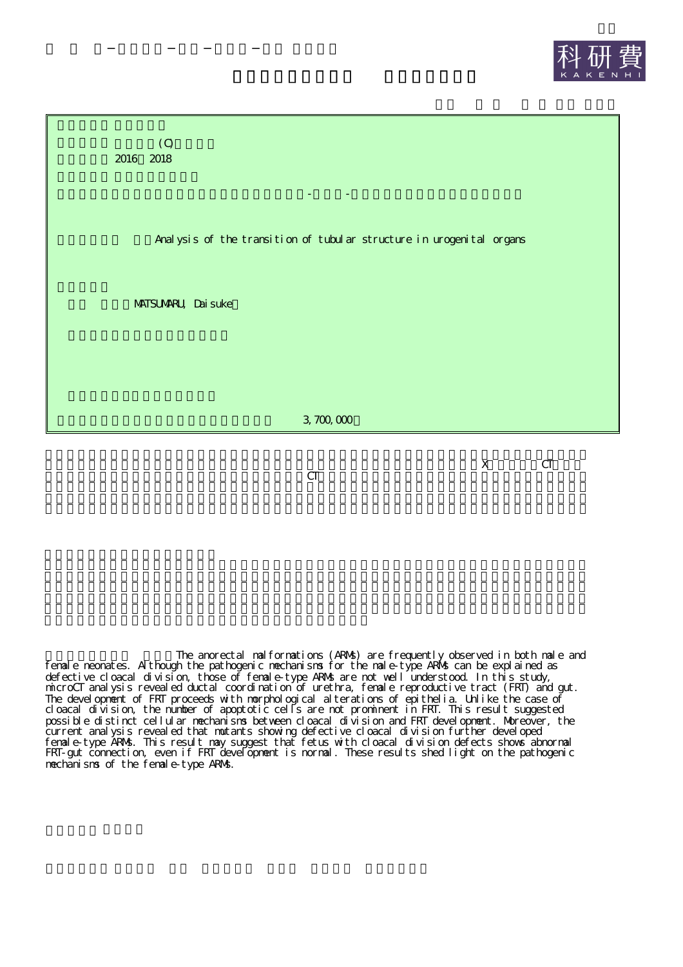



CT

X CT

The anorectal malformations (ARMs) are frequently observed in both male and female neonates. Although the pathogenic mechanisms for the male-type ARMs can be explained as defective cloacal division, those of female-type ARMs are not well understood. In this study, microCT analysis revealed ductal coordination of urethra, female reproductive tract (FRT) and gut. The development of FRT proceeds with morphological alterations of epithelia. Unlike the case of cloacal division, the number of apoptotic cells are not prominent in FRT. This result suggested possible distinct cellular mechanisms between cloacal division and FRT development. Moreover, the current analysis revealed that mutants showing defective cloacal division further developed female-type ARMs. This result may suggest that fetus with cloacal division defects shows abnormal FRT-gut connection, even if FRT development is normal. These results shed light on the pathogenic mechanisms of the female-type ARMs.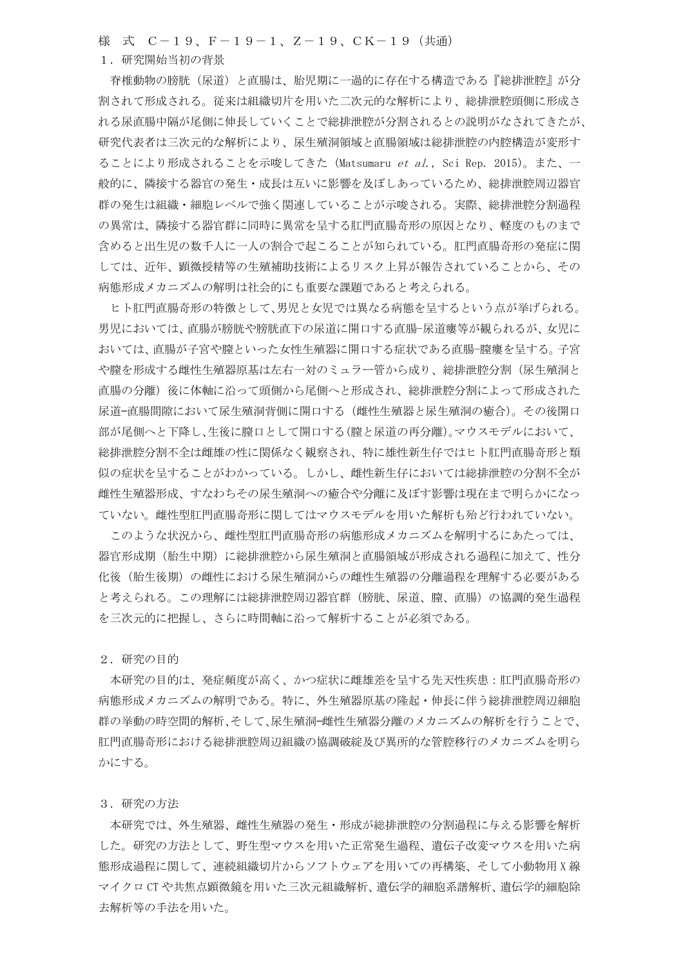様 式 C-19、F-19-1、Z-19、CK-19(共通)

## 1. 研究開始当初の背景

脊椎動物の膀胱(尿道)と直腸は、胎児期に一過的に存在する構造である『総排泄腔』が分 割されて形成される。従来は組織切片を用いた二次元的な解析により、総排泄腔頭側に形成さ れる尿直腸中隔が尾側に伸長していくことで総排泄腔が分割されるとの説明がなされてきたが、 研究代表者は三次元的な解析により、尿生殖洞領域と直腸領域は総排泄腔の内腔構造が変形す ることにより形成されることを示唆してきた(Matsumaru *et al*., Sci Rep. 2015)。また、一 般的に、隣接する器官の発生・成長は互いに影響を及ぼしあっているため、総排泄腔周辺器官 群の発生は組織・細胞レベルで強く関連していることが示唆される。実際、総排泄腔分割過程 の異常は、隣接する器官群に同時に異常を呈する肛門直腸奇形の原因となり、軽度のものまで 含めると出生児の数千人に一人の割合で起こることが知られている。肛門直腸奇形の発症に関 しては、近年、顕微授精等の生殖補助技術によるリスク上昇が報告されていることから、その 病態形成メカニズムの解明は社会的にも重要な課題であると考えられる。

ヒト肛門直腸奇形の特徴として、男児と女児では異なる病態を呈するという点が挙げられる。 男児においては、直腸が膀胱や膀胱直下の尿道に開口する直腸-尿道瘻等が観られるが、女児に おいては、直腸が子宮や膣といった女性生殖器に開口する症状である直腸-膣瘻を呈する。子宮 や膣を形成する雌性生殖器原基は左右一対のミュラー管から成り、総排泄腔分割(尿生殖洞と 直腸の分離)後に体軸に沿って頭側から尾側へと形成され、総排泄腔分割によって形成された 尿道-直腸間隙において尿生殖洞背側に開口する(雌性生殖器と尿生殖洞の癒合)。その後開口 部が尾側へと下降し、生後に膣口として開口する(膣と尿道の再分離)。マウスモデルにおいて、 総排泄腔分割不全は雌雄の性に関係なく観察され、特に雄性新生仔ではヒト肛門直腸奇形と類 似の症状を呈することがわかっている。しかし、雌性新生仔においては総排泄腔の分割不全が 雌性生殖器形成、すなわちその尿生殖洞への癒合や分離に及ぼす影響は現在まで明らかになっ ていない。雌性型肛門直腸奇形に関してはマウスモデルを用いた解析も殆ど行われていない。

このような状況から、雌性型肛門直腸奇形の病熊形成メカニズムを解明するにあたっては、 器官形成期(胎生中期)に総排泄腔から尿生殖洞と直腸領域が形成される過程に加えて、性分 化後(胎生後期)の雌性における尿生殖洞からの雌性生殖器の分離過程を理解する必要がある と考えられる。この理解には総排泄腔周辺器官群(膀胱、尿道、膣、直腸)の協調的発生過程 を三次元的に把握し、さらに時間軸に沿って解析することが必須である。

2. 研究の目的

本研究の目的は、発症頻度が高く、かつ症状に雌雄差を呈する先天性疾患:肛門直腸奇形の 病態形成メカニズムの解明である。特に、外生殖器原基の隆起・伸長に伴う総排泄腔周辺細胞 群の挙動の時空間的解析、そして、尿生殖洞-雌性生殖器分離のメカニズムの解析を行うことで、 肛門直腸奇形における総排泄腔周辺組織の協調破綻及び異所的な管腔移行のメカニズムを明ら かにする。

3. 研究の方法

本研究では、外生殖器、雌性生殖器の発生・形成が総排泄腔の分割過程に与える影響を解析 した。研究の方法として、野生型マウスを用いた正常発生過程、遺伝子改変マウスを用いた病 態形成過程に関して、連続組織切片からソフトウェアを用いての再構築、そして小動物用X線 マイクロ CT や共焦点顕微鏡を用いた三次元組織解析、遺伝学的細胞系譜解析、遺伝学的細胞除 去解析等の手法を用いた。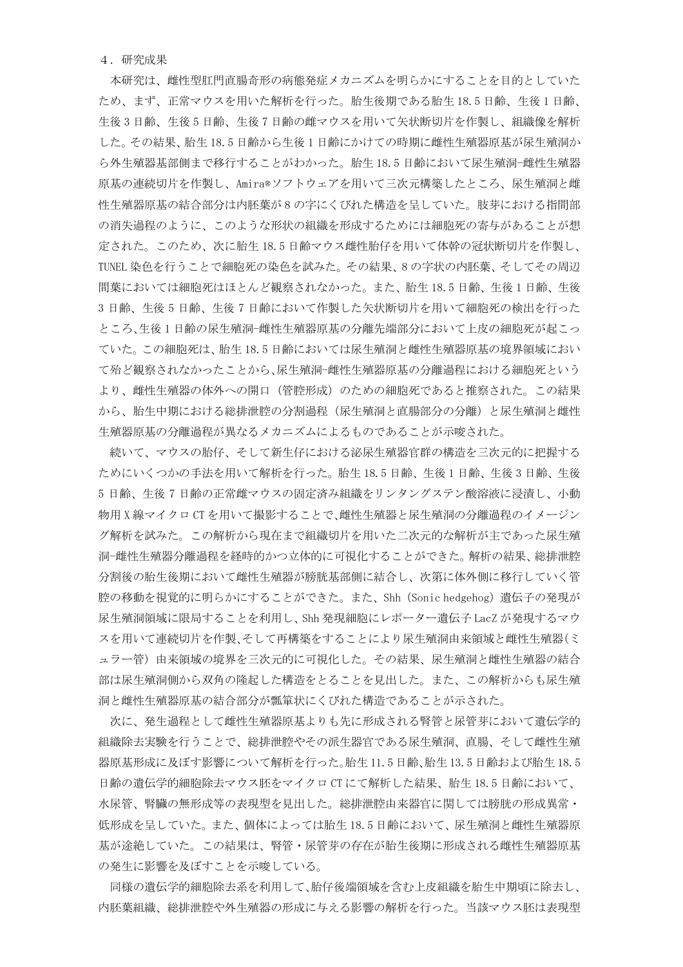4. 研究成果

本研究は、雌性型肛門直腸奇形の病態発症メカニズムを明らかにすることを目的としていた ため、まず、正常マウスを用いた解析を行った。胎生後期である胎生18.5日齢、生後1日齢、 生後3日齢、生後7日齢の雌マウスを用いて矢状断切片を作製し、組織像を解析 した。その結果、胎生18.5日齢から生後1日齢にかけての時期に雌性生殖器原基が尿生殖洞か ら外生殖器基部側まで移行することがわかった。胎生18.5日齢において尿生殖洞−雌性生殖器 原基の連続切片を作製し、Amira®ソフトウェアを用いて三次元構築したところ、尿生殖洞と雌 性生殖器原基の結合部分は内胚葉が8の字にくびれた構造を呈していた。肢芽における指間部 の消失過程のように、このような形状の組織を形成するためには細胞死の寄与があることが想 定された。このため、次に胎生18.5日齢マウス雌性胎仔を用いて体幹の冠状断切片を作製し、 TUNEL 染色を行うことで細胞死の染色を試みた。その結果、8 の字状の内胚葉、そしてその周辺 間葉においては細胞死はほとんど観察されなかった。また、胎生18.5日齢、生後1日齢、生後 3日齢、生後5日齢、生後7日齢において作製した矢状断切片を用いて細胞死の検出を行った ところ、生後1日齢の尿生殖洞-雌性生殖器原基の分離先端部分において上皮の細胞死が起こっ ていた。この細胞死は、胎生18.5日齢においては尿生殖洞と雌性生殖器原基の境界領域におい て殆ど観察されなかったことから、尿生殖洞-雌性生殖器原基の分離過程における細胞死という より、雌性生殖器の体外への開口(管腔形成)のための細胞死であると推察された。この結果 から、胎生中期における総排泄腔の分割過程(尿生殖洞と直腸部分の分離)と尿生殖洞と雌性 生殖器原基の分離過程が異なるメカニズムによるものであることが示唆された。

<u>続いて、マウスの胎仔、そして新生仔における泌尿生殖器官群の構造を三次元的に把握する</u> ためにいくつかの手法を用いて解析を行った。胎生18.5日齢、生後1日齢、生後3日齢、生後 5日齢、生後7日齢の正常雌マウスの固定済み組織をリンタングステン酸溶液に浸漬し、小動 物用 X 線マイクロ CT を用いて撮影することで、雌性生殖器と尿生殖洞の分離過程のイメージン グ解析を試みた。この解析から現在まで組織切片を用いた二次元的な解析が主であった尿生殖 洞-雌性生殖器分離過程を経時的かつ立体的に可視化することができた。解析の結果、総排泄腔 分割後の胎生後期において雌性生殖器が膀胱基部側に結合し、次第に体外側に移行していく管 腔の移動を視覚的に明らかにすることができた。また、Shh (Sonic hedgehog) 遺伝子の発現が 尿生殖洞領域に限局することを利用し、Shh 発現細胞にレポーター遺伝子 LacZ が発現するマウ スを用いて連続切片を作製、そして再構築をすることにより尿生殖洞由来領域と雌性生殖器(ミ ュラー管)由来領域の境界を三次元的に可視化した。その結果、尿生殖洞と雌性生殖器の結合 部は尿生殖洞側から双角の隆起した構造をとることを見出した。また、この解析からも尿生殖 洞と雌性生殖器原基の結合部分が瓢箪状にくびれた構造であることが示された。

次に、発生過程として雌性生殖器原基よりも先に形成される腎管と尿管芽において遺伝学的 組織除去実験を行うことで、総排泄腔やその派生器官である尿生殖洞、直腸、そして雌性生殖 器原基形成に及ぼす影響について解析を行った。胎生11.5日齢、胎生13.5日齢および胎生18.5 日齢の遺伝学的細胞除去マウス胚をマイクロ CT にて解析した結果、胎生18.5日齢において、 水尿管、腎臓の無形成等の表現型を見出した。総排泄腔由来器官に関しては膀胱の形成異常· 低形成を呈していた。また、個体によっては胎生18.5日齢において、尿生殖洞と雌性生殖器原 基が途絶していた。この結果は、腎管・尿管芽の存在が胎生後期に形成される雌性生殖器原基 の発生に影響を及ぼすことを示唆している。

同様の遺伝学的細胞除去系を利用して、胎仔後端領域を含む上皮組織を胎生中期頃に除去し、 内胚葉組織、総排泄腔や外生殖器の形成に与える影響の解析を行った。当該マウス胚は表現型